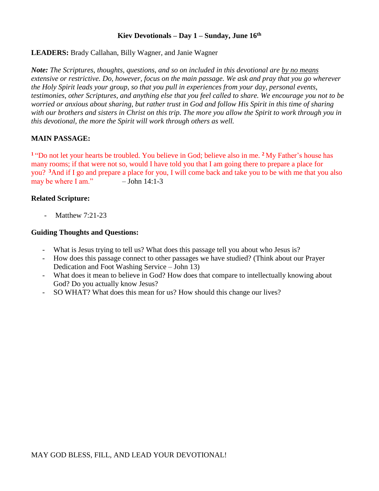## **Kiev Devotionals – Day 1 – Sunday, June 16th**

## **LEADERS:** Brady Callahan, Billy Wagner, and Janie Wagner

*Note: The Scriptures, thoughts, questions, and so on included in this devotional are by no means extensive or restrictive. Do, however, focus on the main passage. We ask and pray that you go wherever the Holy Spirit leads your group, so that you pull in experiences from your day, personal events, testimonies, other Scriptures, and anything else that you feel called to share. We encourage you not to be worried or anxious about sharing, but rather trust in God and follow His Spirit in this time of sharing with our brothers and sisters in Christ on this trip. The more you allow the Spirit to work through you in this devotional, the more the Spirit will work through others as well.* 

# **MAIN PASSAGE:**

**<sup>1</sup>** "Do not let your hearts be troubled. You believe in God; believe also in me. **<sup>2</sup>**My Father's house has many rooms; if that were not so, would I have told you that I am going there to prepare a place for you? **<sup>3</sup>**And if I go and prepare a place for you, I will come back and take you to be with me that you also may be where I am."  $-$  John 14:1-3

## **Related Scripture:**

- Matthew 7:21-23

- What is Jesus trying to tell us? What does this passage tell you about who Jesus is?
- How does this passage connect to other passages we have studied? (Think about our Prayer Dedication and Foot Washing Service – John 13)
- What does it mean to believe in God? How does that compare to intellectually knowing about God? Do you actually know Jesus?
- SO WHAT? What does this mean for us? How should this change our lives?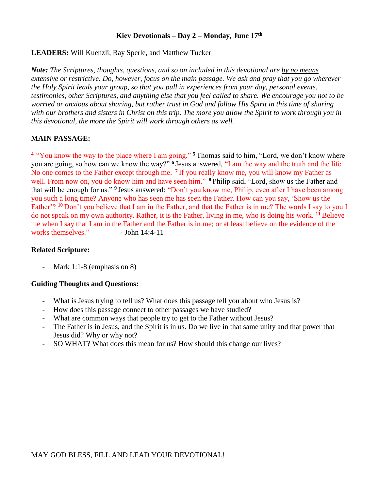### **Kiev Devotionals – Day 2 – Monday, June 17th**

# **LEADERS:** Will Kuenzli, Ray Sperle, and Matthew Tucker

*Note: The Scriptures, thoughts, questions, and so on included in this devotional are by no means extensive or restrictive. Do, however, focus on the main passage. We ask and pray that you go wherever the Holy Spirit leads your group, so that you pull in experiences from your day, personal events, testimonies, other Scriptures, and anything else that you feel called to share. We encourage you not to be worried or anxious about sharing, but rather trust in God and follow His Spirit in this time of sharing with our brothers and sisters in Christ on this trip. The more you allow the Spirit to work through you in this devotional, the more the Spirit will work through others as well.*

# **MAIN PASSAGE:**

**<sup>4</sup>**"You know the way to the place where I am going." **<sup>5</sup>**Thomas said to him, "Lord, we don't know where you are going, so how can we know the way?" **<sup>6</sup>**Jesus answered, "I am the way and the truth and the life. No one comes to the Father except through me. **<sup>7</sup>**If you really know me, you will know my Father as well. From now on, you do know him and have seen him." **<sup>8</sup>**Philip said, "Lord, show us the Father and that will be enough for us." **<sup>9</sup>**Jesus answered: "Don't you know me, Philip, even after I have been among you such a long time? Anyone who has seen me has seen the Father. How can you say, 'Show us the Father'? **<sup>10</sup>**Don't you believe that I am in the Father, and that the Father is in me? The words I say to you I do not speak on my own authority. Rather, it is the Father, living in me, who is doing his work. **<sup>11</sup>**Believe me when I say that I am in the Father and the Father is in me; or at least believe on the evidence of the works themselves." - John 14:4-11

### **Related Scripture:**

- Mark 1:1-8 (emphasis on 8)

- What is Jesus trying to tell us? What does this passage tell you about who Jesus is?
- How does this passage connect to other passages we have studied?
- What are common ways that people try to get to the Father without Jesus?
- The Father is in Jesus, and the Spirit is in us. Do we live in that same unity and that power that Jesus did? Why or why not?
- SO WHAT? What does this mean for us? How should this change our lives?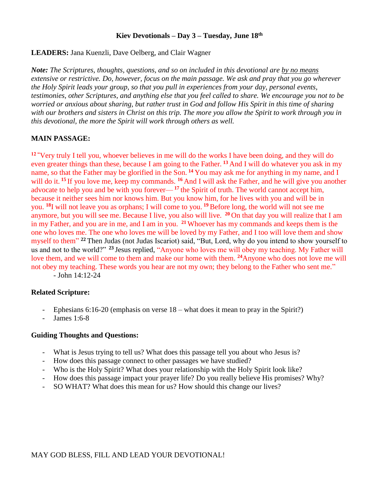### **Kiev Devotionals – Day 3 – Tuesday, June 18th**

## **LEADERS:** Jana Kuenzli, Dave Oelberg, and Clair Wagner

*Note: The Scriptures, thoughts, questions, and so on included in this devotional are by no means extensive or restrictive. Do, however, focus on the main passage. We ask and pray that you go wherever the Holy Spirit leads your group, so that you pull in experiences from your day, personal events, testimonies, other Scriptures, and anything else that you feel called to share. We encourage you not to be worried or anxious about sharing, but rather trust in God and follow His Spirit in this time of sharing with our brothers and sisters in Christ on this trip. The more you allow the Spirit to work through you in this devotional, the more the Spirit will work through others as well.*

## **MAIN PASSAGE:**

**12 "**Very truly I tell you, whoever believes in me will do the works I have been doing, and they will do even greater things than these, because I am going to the Father. **<sup>13</sup>**And I will do whatever you ask in my name, so that the Father may be glorified in the Son. **<sup>14</sup>**You may ask me for anything in my name, and I will do it. <sup>15</sup> If you love me, keep my commands. <sup>16</sup> And I will ask the Father, and he will give you another advocate to help you and be with you forever— **<sup>17</sup>**the Spirit of truth. The world cannot accept him, because it neither sees him nor knows him. But you know him, for he lives with you and will be in you. **<sup>18</sup>**I will not leave you as orphans; I will come to you. **<sup>19</sup>**Before long, the world will not see me anymore, but you will see me. Because I live, you also will live. **<sup>20</sup>**On that day you will realize that I am in my Father, and you are in me, and I am in you. **<sup>21</sup>**Whoever has my commands and keeps them is the one who loves me. The one who loves me will be loved by my Father, and I too will love them and show myself to them" **<sup>22</sup>** Then Judas (not Judas Iscariot) said, "But, Lord, why do you intend to show yourself to us and not to the world?" **<sup>23</sup>**Jesus replied, "Anyone who loves me will obey my teaching. My Father will love them, and we will come to them and make our home with them. **<sup>24</sup>**Anyone who does not love me will not obey my teaching. These words you hear are not my own; they belong to the Father who sent me."

- John 14:12-24

### **Related Scripture:**

- Ephesians  $6:16-20$  (emphasis on verse  $18$  what does it mean to pray in the Spirit?)
- James 1:6-8

- What is Jesus trying to tell us? What does this passage tell you about who Jesus is?
- How does this passage connect to other passages we have studied?
- Who is the Holy Spirit? What does your relationship with the Holy Spirit look like?
- How does this passage impact your prayer life? Do you really believe His promises? Why?
- SO WHAT? What does this mean for us? How should this change our lives?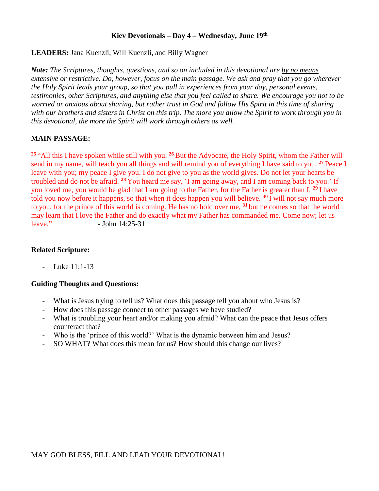### **Kiev Devotionals – Day 4 – Wednesday, June 19th**

## **LEADERS:** Jana Kuenzli, Will Kuenzli, and Billy Wagner

*Note: The Scriptures, thoughts, questions, and so on included in this devotional are by no means extensive or restrictive. Do, however, focus on the main passage. We ask and pray that you go wherever the Holy Spirit leads your group, so that you pull in experiences from your day, personal events, testimonies, other Scriptures, and anything else that you feel called to share. We encourage you not to be worried or anxious about sharing, but rather trust in God and follow His Spirit in this time of sharing with our brothers and sisters in Christ on this trip. The more you allow the Spirit to work through you in this devotional, the more the Spirit will work through others as well.*

# **MAIN PASSAGE:**

**<sup>25</sup>** "All this I have spoken while still with you. **<sup>26</sup>** But the Advocate, the Holy Spirit, whom the Father will send in my name, will teach you all things and will remind you of everything I have said to you. **<sup>27</sup>** Peace I leave with you; my peace I give you. I do not give to you as the world gives. Do not let your hearts be troubled and do not be afraid. **<sup>28</sup>** You heard me say, 'I am going away, and I am coming back to you.' If you loved me, you would be glad that I am going to the Father, for the Father is greater than I. **<sup>29</sup>** I have told you now before it happens, so that when it does happen you will believe. **<sup>30</sup>** I will not say much more to you, for the prince of this world is coming. He has no hold over me, **<sup>31</sup>** but he comes so that the world may learn that I love the Father and do exactly what my Father has commanded me. Come now; let us leave."  $-$  John  $14:25-31$ 

## **Related Scripture:**

- Luke 11:1-13

- What is Jesus trying to tell us? What does this passage tell you about who Jesus is?
- How does this passage connect to other passages we have studied?
- What is troubling your heart and/or making you afraid? What can the peace that Jesus offers counteract that?
- Who is the 'prince of this world?' What is the dynamic between him and Jesus?
- SO WHAT? What does this mean for us? How should this change our lives?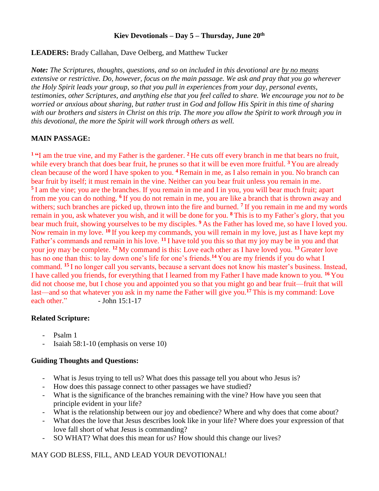## **Kiev Devotionals – Day 5 – Thursday, June 20th**

**LEADERS:** Brady Callahan, Dave Oelberg, and Matthew Tucker

*Note: The Scriptures, thoughts, questions, and so on included in this devotional are by no means extensive or restrictive. Do, however, focus on the main passage. We ask and pray that you go wherever the Holy Spirit leads your group, so that you pull in experiences from your day, personal events, testimonies, other Scriptures, and anything else that you feel called to share. We encourage you not to be worried or anxious about sharing, but rather trust in God and follow His Spirit in this time of sharing with our brothers and sisters in Christ on this trip. The more you allow the Spirit to work through you in this devotional, the more the Spirit will work through others as well.*

# **MAIN PASSAGE:**

**<sup>1</sup> "**I am the true vine, and my Father is the gardener. **<sup>2</sup>** He cuts off every branch in me that bears no fruit, while every branch that does bear fruit, he prunes so that it will be even more fruitful. <sup>3</sup> You are already clean because of the word I have spoken to you. **<sup>4</sup>** Remain in me, as I also remain in you. No branch can bear fruit by itself; it must remain in the vine. Neither can you bear fruit unless you remain in me. <sup>5</sup>I am the vine; you are the branches. If you remain in me and I in you, you will bear much fruit; apart from me you can do nothing. **<sup>6</sup>** If you do not remain in me, you are like a branch that is thrown away and withers; such branches are picked up, thrown into the fire and burned. <sup>7</sup> If you remain in me and my words remain in you, ask whatever you wish, and it will be done for you. **<sup>8</sup>** This is to my Father's glory, that you bear much fruit, showing yourselves to be my disciples. **<sup>9</sup>** As the Father has loved me, so have I loved you. Now remain in my love. **<sup>10</sup>** If you keep my commands, you will remain in my love, just as I have kept my Father's commands and remain in his love. **<sup>11</sup>** I have told you this so that my joy may be in you and that your joy may be complete. **<sup>12</sup>** My command is this: Love each other as I have loved you. **<sup>13</sup>** Greater love has no one than this: to lay down one's life for one's friends.**<sup>14</sup>** You are my friends if you do what I command. **<sup>15</sup>** I no longer call you servants, because a servant does not know his master's business. Instead, I have called you friends, for everything that I learned from my Father I have made known to you. **<sup>16</sup>** You did not choose me, but I chose you and appointed you so that you might go and bear fruit—fruit that will last—and so that whatever you ask in my name the Father will give you.**<sup>17</sup>** This is my command: Love each other."  $-$  John 15:1-17

# **Related Scripture:**

- Psalm 1
- Isaiah 58:1-10 (emphasis on verse 10)

# **Guiding Thoughts and Questions:**

- What is Jesus trying to tell us? What does this passage tell you about who Jesus is?
- How does this passage connect to other passages we have studied?
- What is the significance of the branches remaining with the vine? How have you seen that principle evident in your life?
- What is the relationship between our joy and obedience? Where and why does that come about?
- What does the love that Jesus describes look like in your life? Where does your expression of that love fall short of what Jesus is commanding?
- SO WHAT? What does this mean for us? How should this change our lives?

# MAY GOD BLESS, FILL, AND LEAD YOUR DEVOTIONAL!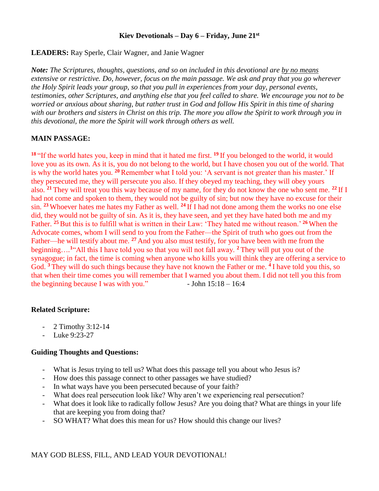### **Kiev Devotionals – Day 6 – Friday, June 21st**

# **LEADERS:** Ray Sperle, Clair Wagner, and Janie Wagner

*Note: The Scriptures, thoughts, questions, and so on included in this devotional are by no means extensive or restrictive. Do, however, focus on the main passage. We ask and pray that you go wherever the Holy Spirit leads your group, so that you pull in experiences from your day, personal events, testimonies, other Scriptures, and anything else that you feel called to share. We encourage you not to be worried or anxious about sharing, but rather trust in God and follow His Spirit in this time of sharing with our brothers and sisters in Christ on this trip. The more you allow the Spirit to work through you in this devotional, the more the Spirit will work through others as well.*

# **MAIN PASSAGE:**

**<sup>18</sup>** "If the world hates you, keep in mind that it hated me first. **<sup>19</sup>** If you belonged to the world, it would love you as its own. As it is, you do not belong to the world, but I have chosen you out of the world. That is why the world hates you. **<sup>20</sup>**Remember what I told you: 'A servant is not greater than his master.' If they persecuted me, they will persecute you also. If they obeyed my teaching, they will obey yours also. **<sup>21</sup>** They will treat you this way because of my name, for they do not know the one who sent me. **<sup>22</sup>** If I had not come and spoken to them, they would not be guilty of sin; but now they have no excuse for their sin. **<sup>23</sup>** Whoever hates me hates my Father as well. **<sup>24</sup>** If I had not done among them the works no one else did, they would not be guilty of sin. As it is, they have seen, and yet they have hated both me and my Father. **<sup>25</sup>** But this is to fulfill what is written in their Law: 'They hated me without reason.' **<sup>26</sup>** When the Advocate comes, whom I will send to you from the Father—the Spirit of truth who goes out from the Father—he will testify about me. **<sup>27</sup>** And you also must testify, for you have been with me from the beginning…*.* **<sup>1</sup>**"All this I have told you so that you will not fall away. **<sup>2</sup>** They will put you out of the synagogue; in fact, the time is coming when anyone who kills you will think they are offering a service to God. **<sup>3</sup>** They will do such things because they have not known the Father or me. **<sup>4</sup>** I have told you this, so that when their time comes you will remember that I warned you about them. I did not tell you this from the beginning because I was with you."  $\blacksquare$  - John 15:18 – 16:4

### **Related Scripture:**

- 2 Timothy 3:12-14
- Luke 9:23-27

- What is Jesus trying to tell us? What does this passage tell you about who Jesus is?
- How does this passage connect to other passages we have studied?
- In what ways have you been persecuted because of your faith?
- What does real persecution look like? Why aren't we experiencing real persecution?
- What does it look like to radically follow Jesus? Are you doing that? What are things in your life that are keeping you from doing that?
- SO WHAT? What does this mean for us? How should this change our lives?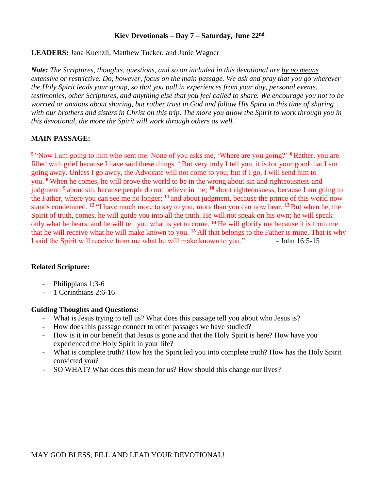## **Kiev Devotionals – Day 7 – Saturday, June 22nd**

## **LEADERS:** Jana Kuenzli, Matthew Tucker, and Janie Wagner

*Note: The Scriptures, thoughts, questions, and so on included in this devotional are by no means extensive or restrictive. Do, however, focus on the main passage. We ask and pray that you go wherever the Holy Spirit leads your group, so that you pull in experiences from your day, personal events, testimonies, other Scriptures, and anything else that you feel called to share. We encourage you not to be worried or anxious about sharing, but rather trust in God and follow His Spirit in this time of sharing with our brothers and sisters in Christ on this trip. The more you allow the Spirit to work through you in this devotional, the more the Spirit will work through others as well.*

# **MAIN PASSAGE:**

**<sup>5</sup>** "Now I am going to him who sent me. None of you asks me, 'Where are you going?' **<sup>6</sup>**Rather, you are filled with grief because I have said these things. **<sup>7</sup>** But very truly I tell you, it is for your good that I am going away. Unless I go away, the Advocate will not come to you; but if I go, I will send him to you. **<sup>8</sup>** When he comes, he will prove the world to be in the wrong about sin and righteousness and judgment: **<sup>9</sup>** about sin, because people do not believe in me; **<sup>10</sup>** about righteousness, because I am going to the Father, where you can see me no longer; **<sup>11</sup>** and about judgment, because the prince of this world now stands condemned. **<sup>12</sup>** "I have much more to say to you, more than you can now bear. **<sup>13</sup>** But when he, the Spirit of truth, comes, he will guide you into all the truth. He will not speak on his own; he will speak only what he hears, and he will tell you what is yet to come. **<sup>14</sup>** He will glorify me because it is from me that he will receive what he will make known to you. **<sup>15</sup>** All that belongs to the Father is mine. That is why I said the Spirit will receive from me what he will make known to you." - John 16:5-15

### **Related Scripture:**

- Philippians 1:3-6
- 1 Corinthians 2:6-16

- What is Jesus trying to tell us? What does this passage tell you about who Jesus is?
- How does this passage connect to other passages we have studied?
- How is it in our benefit that Jesus is gone and that the Holy Spirit is here? How have you experienced the Holy Spirit in your life?
- What is complete truth? How has the Spirit led you into complete truth? How has the Holy Spirit convicted you?
- SO WHAT? What does this mean for us? How should this change our lives?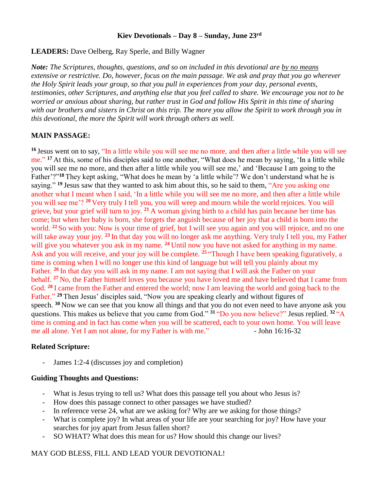### **Kiev Devotionals – Day 8 – Sunday, June 23rd**

**LEADERS:** Dave Oelberg, Ray Sperle, and Billy Wagner

*Note: The Scriptures, thoughts, questions, and so on included in this devotional are by no means extensive or restrictive. Do, however, focus on the main passage. We ask and pray that you go wherever the Holy Spirit leads your group, so that you pull in experiences from your day, personal events, testimonies, other Scriptures, and anything else that you feel called to share. We encourage you not to be worried or anxious about sharing, but rather trust in God and follow His Spirit in this time of sharing with our brothers and sisters in Christ on this trip. The more you allow the Spirit to work through you in this devotional, the more the Spirit will work through others as well.*

## **MAIN PASSAGE:**

**<sup>16</sup>** Jesus went on to say, "In a little while you will see me no more, and then after a little while you will see me." <sup>17</sup> At this, some of his disciples said to one another, "What does he mean by saying, 'In a little while you will see me no more, and then after a little while you will see me,' and 'Because I am going to the Father'?"**<sup>18</sup>** They kept asking, "What does he mean by 'a little while'? We don't understand what he is saying." <sup>19</sup> Jesus saw that they wanted to ask him about this, so he said to them, "Are you asking one" another what I meant when I said, 'In a little while you will see me no more, and then after a little while you will see me'? **<sup>20</sup>** Very truly I tell you, you will weep and mourn while the world rejoices. You will grieve, but your grief will turn to joy. **<sup>21</sup>** A woman giving birth to a child has pain because her time has come; but when her baby is born, she forgets the anguish because of her joy that a child is born into the world. <sup>22</sup> So with you: Now is your time of grief, but I will see you again and you will rejoice, and no one will take away your joy. **<sup>23</sup>** In that day you will no longer ask me anything. Very truly I tell you, my Father will give you whatever you ask in my name. <sup>24</sup> Until now you have not asked for anything in my name. Ask and you will receive, and your joy will be complete. <sup>25</sup> "Though I have been speaking figuratively, a time is coming when I will no longer use this kind of language but will tell you plainly about my Father. **<sup>26</sup>** In that day you will ask in my name. I am not saying that I will ask the Father on your behalf. **<sup>27</sup>** No, the Father himself loves you because you have loved me and have believed that I came from God. **<sup>28</sup>** I came from the Father and entered the world; now I am leaving the world and going back to the Father." **<sup>29</sup>** Then Jesus' disciples said, "Now you are speaking clearly and without figures of speech. **<sup>30</sup>** Now we can see that you know all things and that you do not even need to have anyone ask you questions. This makes us believe that you came from God." **<sup>31</sup>** "Do you now believe?" Jesus replied. **<sup>32</sup>** "A time is coming and in fact has come when you will be scattered, each to your own home. You will leave me all alone. Yet I am not alone, for my Father is with me." - John 16:16-32

### **Related Scripture:**

- James 1:2-4 (discusses joy and completion)

### **Guiding Thoughts and Questions:**

- What is Jesus trying to tell us? What does this passage tell you about who Jesus is?
- How does this passage connect to other passages we have studied?
- In reference verse 24, what are we asking for? Why are we asking for those things?
- What is complete joy? In what areas of your life are your searching for joy? How have your searches for joy apart from Jesus fallen short?
- SO WHAT? What does this mean for us? How should this change our lives?

# MAY GOD BLESS, FILL AND LEAD YOUR DEVOTIONAL!